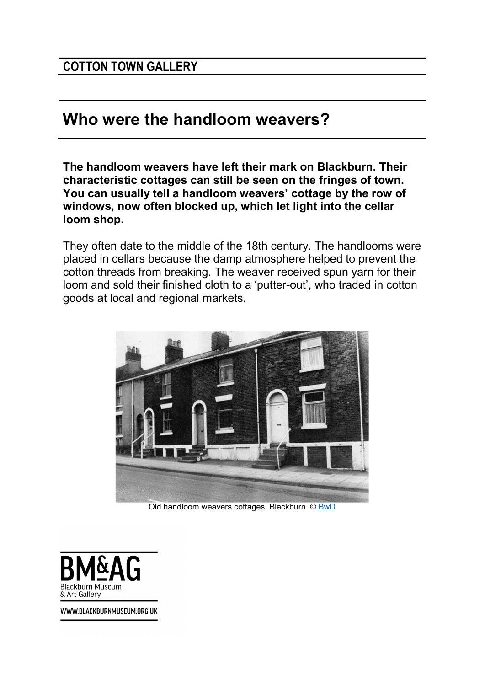## Who were the handloom weavers?

The handloom weavers have left their mark on Blackburn. Their characteristic cottages can still be seen on the fringes of town. You can usually tell a handloom weavers' cottage by the row of windows, now often blocked up, which let light into the cellar loom shop.

They often date to the middle of the 18th century. The handlooms were placed in cellars because the damp atmosphere helped to prevent the cotton threads from breaking. The weaver received spun yarn for their loom and sold their finished cloth to a 'putter-out', who traded in cotton goods at local and regional markets.



Old handloom weavers cottages, Blackburn. © BwD



WWW.BLACKBURNMUSEUM.ORG.UK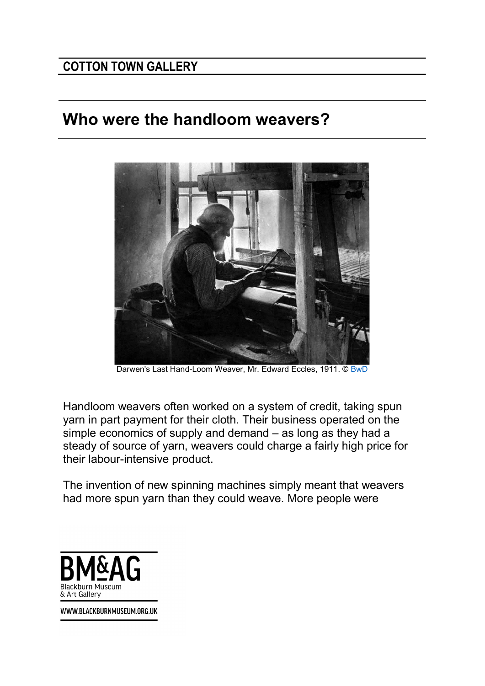## COTTON TOWN GALLERY

## Who were the handloom weavers?



Darwen's Last Hand-Loom Weaver, Mr. Edward Eccles, 1911. © BwD

Handloom weavers often worked on a system of credit, taking spun yarn in part payment for their cloth. Their business operated on the simple economics of supply and demand – as long as they had a steady of source of yarn, weavers could charge a fairly high price for their labour-intensive product.

The invention of new spinning machines simply meant that weavers had more spun yarn than they could weave. More people were



WWW.BLACKBURNMUSEUM.ORG.UK